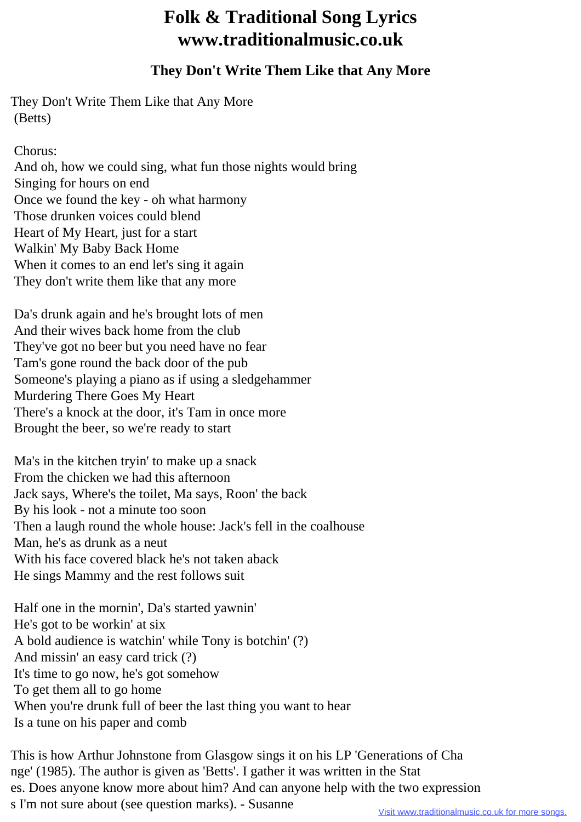## **Folk & Traditional Song Lyrics www.traditionalmusic.co.uk**

## **They Don't Write Them Like that Any More**

They Don't Write Them Like that Any More (Betts)

Chorus:

 And oh, how we could sing, what fun those nights would bring Singing for hours on end Once we found the key - oh what harmony Those drunken voices could blend Heart of My Heart, just for a start Walkin' My Baby Back Home When it comes to an end let's sing it again They don't write them like that any more

 Da's drunk again and he's brought lots of men And their wives back home from the club They've got no beer but you need have no fear Tam's gone round the back door of the pub Someone's playing a piano as if using a sledgehammer Murdering There Goes My Heart There's a knock at the door, it's Tam in once more Brought the beer, so we're ready to start

 Ma's in the kitchen tryin' to make up a snack From the chicken we had this afternoon Jack says, Where's the toilet, Ma says, Roon' the back By his look - not a minute too soon Then a laugh round the whole house: Jack's fell in the coalhouse Man, he's as drunk as a neut With his face covered black he's not taken aback He sings Mammy and the rest follows suit

 Half one in the mornin', Da's started yawnin' He's got to be workin' at six A bold audience is watchin' while Tony is botchin' (?) And missin' an easy card trick (?) It's time to go now, he's got somehow To get them all to go home When you're drunk full of beer the last thing you want to hear Is a tune on his paper and comb

This is how Arthur Johnstone from Glasgow sings it on his LP 'Generations of Cha nge' (1985). The author is given as 'Betts'. I gather it was written in the Stat es. Does anyone know more about him? And can anyone help with the two expression s I'm not sure about (see question marks). - Susanne